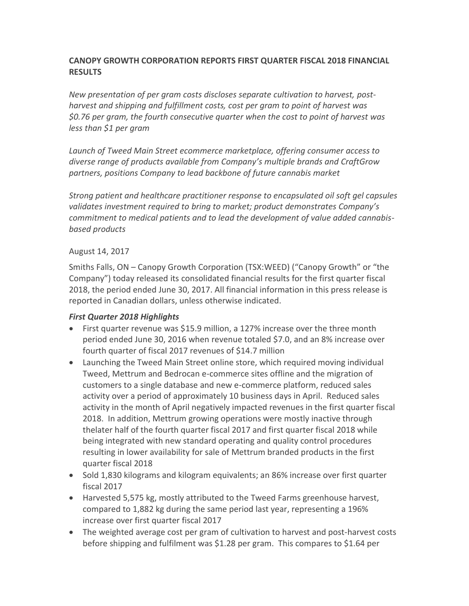# **CANOPY GROWTH CORPORATION REPORTS FIRST QUARTER FISCAL 2018 FINANCIAL RESULTS**

*New presentation of per gram costs discloses separate cultivation to harvest, postharvest and shipping and fulfillment costs, cost per gram to point of harvest was \$0.76 per gram, the fourth consecutive quarter when the cost to point of harvest was less than \$1 per gram* 

*Launch of Tweed Main Street ecommerce marketplace, offering consumer access to diverse range of products available from Company's multiple brands and CraftGrow partners, positions Company to lead backbone of future cannabis market* 

*Strong patient and healthcare practitioner response to encapsulated oil soft gel capsules validates investment required to bring to market; product demonstrates Company's commitment to medical patients and to lead the development of value added cannabisbased products*

## August 14, 2017

Smiths Falls, ON – Canopy Growth Corporation (TSX:WEED) ("Canopy Growth" or "the Company") today released its consolidated financial results for the first quarter fiscal 2018, the period ended June 30, 2017. All financial information in this press release is reported in Canadian dollars, unless otherwise indicated.

## *First Quarter 2018 Highlights*

- First quarter revenue was \$15.9 million, a 127% increase over the three month period ended June 30, 2016 when revenue totaled \$7.0, and an 8% increase over fourth quarter of fiscal 2017 revenues of \$14.7 million
- Launching the Tweed Main Street online store, which required moving individual Tweed, Mettrum and Bedrocan e-commerce sites offline and the migration of customers to a single database and new e-commerce platform, reduced sales activity over a period of approximately 10 business days in April. Reduced sales activity in the month of April negatively impacted revenues in the first quarter fiscal 2018. In addition, Mettrum growing operations were mostly inactive through thelater half of the fourth quarter fiscal 2017 and first quarter fiscal 2018 while being integrated with new standard operating and quality control procedures resulting in lower availability for sale of Mettrum branded products in the first quarter fiscal 2018
- Sold 1,830 kilograms and kilogram equivalents; an 86% increase over first quarter fiscal 2017
- Harvested 5,575 kg, mostly attributed to the Tweed Farms greenhouse harvest, compared to 1,882 kg during the same period last year, representing a 196% increase over first quarter fiscal 2017
- The weighted average cost per gram of cultivation to harvest and post-harvest costs before shipping and fulfilment was \$1.28 per gram. This compares to \$1.64 per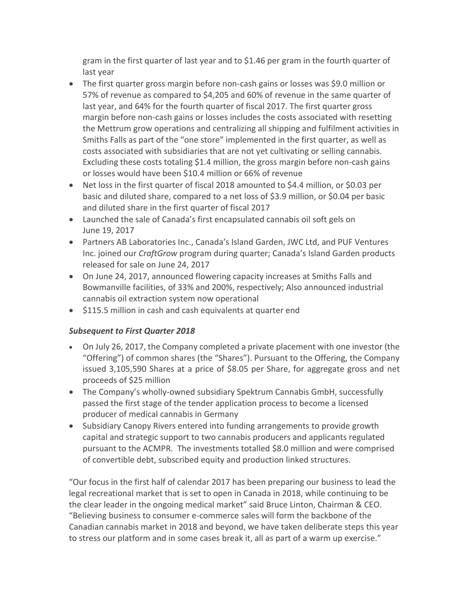gram in the first quarter of last year and to \$1.46 per gram in the fourth quarter of last year

- The first quarter gross margin before non-cash gains or losses was \$9.0 million or 57% of revenue as compared to \$4,205 and 60% of revenue in the same quarter of last year, and 64% for the fourth quarter of fiscal 2017. The first quarter gross margin before non-cash gains or losses includes the costs associated with resetting the Mettrum grow operations and centralizing all shipping and fulfilment activities in Smiths Falls as part of the "one store" implemented in the first quarter, as well as costs associated with subsidiaries that are not yet cultivating or selling cannabis. Excluding these costs totaling \$1.4 million, the gross margin before non-cash gains or losses would have been \$10.4 million or 66% of revenue
- Net loss in the first quarter of fiscal 2018 amounted to \$4.4 million, or \$0.03 per basic and diluted share, compared to a net loss of \$3.9 million, or \$0.04 per basic and diluted share in the first quarter of fiscal 2017
- Launched the sale of Canada's first encapsulated cannabis oil soft gels on June 19, 2017
- Partners AB Laboratories Inc., Canada's Island Garden, JWC Ltd, and PUF Ventures Inc. joined our *CraftGrow* program during quarter; Canada's Island Garden products released for sale on June 24, 2017
- On June 24, 2017, announced flowering capacity increases at Smiths Falls and Bowmanville facilities, of 33% and 200%, respectively; Also announced industrial cannabis oil extraction system now operational
- \$115.5 million in cash and cash equivalents at quarter end

## *Subsequent to First Quarter 2018*

- On July 26, 2017, the Company completed a private placement with one investor (the "Offering") of common shares (the "Shares"). Pursuant to the Offering, the Company issued 3,105,590 Shares at a price of \$8.05 per Share, for aggregate gross and net proceeds of \$25 million
- The Company's wholly-owned subsidiary Spektrum Cannabis GmbH, successfully passed the first stage of the tender application process to become a licensed producer of medical cannabis in Germany
- Subsidiary Canopy Rivers entered into funding arrangements to provide growth capital and strategic support to two cannabis producers and applicants regulated pursuant to the ACMPR. The investments totalled \$8.0 million and were comprised of convertible debt, subscribed equity and production linked structures.

"Our focus in the first half of calendar 2017 has been preparing our business to lead the legal recreational market that is set to open in Canada in 2018, while continuing to be the clear leader in the ongoing medical market" said Bruce Linton, Chairman & CEO. "Believing business to consumer e-commerce sales will form the backbone of the Canadian cannabis market in 2018 and beyond, we have taken deliberate steps this year to stress our platform and in some cases break it, all as part of a warm up exercise."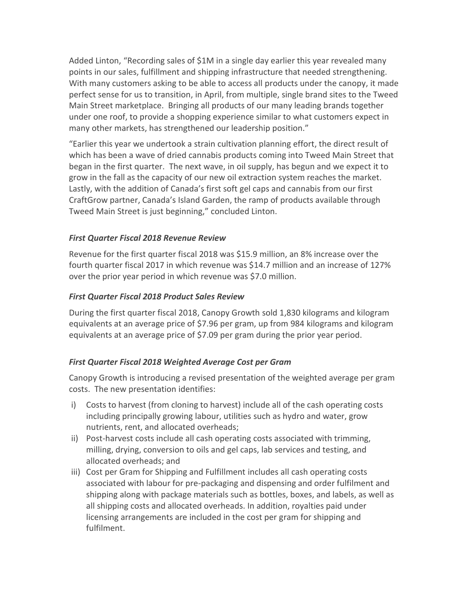Added Linton, "Recording sales of \$1M in a single day earlier this year revealed many points in our sales, fulfillment and shipping infrastructure that needed strengthening. With many customers asking to be able to access all products under the canopy, it made perfect sense for us to transition, in April, from multiple, single brand sites to the Tweed Main Street marketplace. Bringing all products of our many leading brands together under one roof, to provide a shopping experience similar to what customers expect in many other markets, has strengthened our leadership position."

"Earlier this year we undertook a strain cultivation planning effort, the direct result of which has been a wave of dried cannabis products coming into Tweed Main Street that began in the first quarter. The next wave, in oil supply, has begun and we expect it to grow in the fall as the capacity of our new oil extraction system reaches the market. Lastly, with the addition of Canada's first soft gel caps and cannabis from our first CraftGrow partner, Canada's Island Garden, the ramp of products available through Tweed Main Street is just beginning," concluded Linton.

## *First Quarter Fiscal 2018 Revenue Review*

Revenue for the first quarter fiscal 2018 was \$15.9 million, an 8% increase over the fourth quarter fiscal 2017 in which revenue was \$14.7 million and an increase of 127% over the prior year period in which revenue was \$7.0 million.

## *First Quarter Fiscal 2018 Product Sales Review*

During the first quarter fiscal 2018, Canopy Growth sold 1,830 kilograms and kilogram equivalents at an average price of \$7.96 per gram, up from 984 kilograms and kilogram equivalents at an average price of \$7.09 per gram during the prior year period.

## *First Quarter Fiscal 2018 Weighted Average Cost per Gram*

Canopy Growth is introducing a revised presentation of the weighted average per gram costs. The new presentation identifies:

- i) Costs to harvest (from cloning to harvest) include all of the cash operating costs including principally growing labour, utilities such as hydro and water, grow nutrients, rent, and allocated overheads;
- ii) Post-harvest costs include all cash operating costs associated with trimming, milling, drying, conversion to oils and gel caps, lab services and testing, and allocated overheads; and
- iii) Cost per Gram for Shipping and Fulfillment includes all cash operating costs associated with labour for pre-packaging and dispensing and order fulfilment and shipping along with package materials such as bottles, boxes, and labels, as well as all shipping costs and allocated overheads. In addition, royalties paid under licensing arrangements are included in the cost per gram for shipping and fulfilment.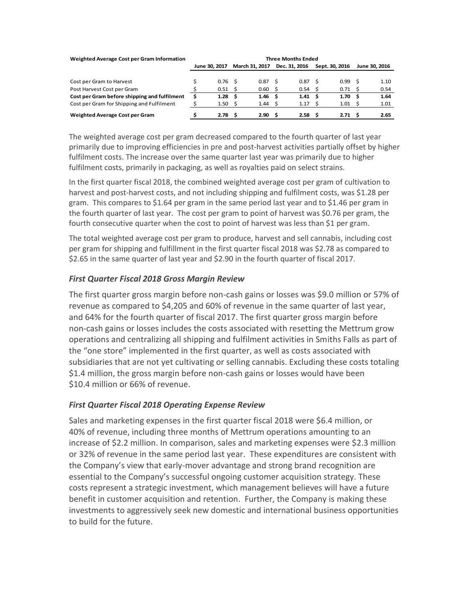| Weighted Average Cost per Gram Information   | <b>Three Months Ended</b> |                   |     |                       |     |               |   |                   |     |               |
|----------------------------------------------|---------------------------|-------------------|-----|-----------------------|-----|---------------|---|-------------------|-----|---------------|
|                                              |                           | June 30, 2017     |     | <b>March 31, 2017</b> |     | Dec. 31, 2016 |   | Sept. 30, 2016    |     | June 30, 2016 |
|                                              |                           |                   |     |                       |     |               |   |                   |     |               |
| Cost per Gram to Harvest                     |                           | 0.76 <sup>5</sup> |     | 0.87                  | - S | 0.87          |   | 0.99              | - S | 1.10          |
| Post Harvest Cost per Gram                   |                           | 0.51              | -S  | 0.60                  |     | 0.54          |   | 0.71              |     | 0.54          |
| Cost per Gram before shipping and fulfilment |                           | 1.28              | - S | 1.46 <sub>5</sub>     |     | 1.41          | s | 1.70 <sub>5</sub> |     | 1.64          |
| Cost per Gram for Shipping and Fulfilment    |                           | 1.50              | -S  | 1.44                  |     | 1.17          |   | 1.01              | - 5 | 1.01          |
| Weighted Average Cost per Gram               |                           | 2.78              | .s  | 2.90                  |     | 2.58          |   | 2.71              |     | 2.65          |

The weighted average cost per gram decreased compared to the fourth quarter of last year primarily due to improving efficiencies in pre and post-harvest activities partially offset by higher fulfilment costs. The increase over the same quarter last year was primarily due to higher fulfilment costs, primarily in packaging, as well as royalties paid on select strains.

In the first quarter fiscal 2018, the combined weighted average cost per gram of cultivation to harvest and post-harvest costs, and not including shipping and fulfilment costs, was \$1.28 per gram. This compares to \$1.64 per gram in the same period last year and to \$1.46 per gram in the fourth quarter of last year. The cost per gram to point of harvest was \$0.76 per gram, the fourth consecutive quarter when the cost to point of harvest was less than \$1 per gram.

The total weighted average cost per gram to produce, harvest and sell cannabis, including cost per gram for shipping and fulfillment in the first quarter fiscal 2018 was \$2.78 as compared to \$2.65 in the same quarter of last year and \$2.90 in the fourth quarter of fiscal 2017.

## *First Quarter Fiscal 2018 Gross Margin Review*

The first quarter gross margin before non-cash gains or losses was \$9.0 million or 57% of revenue as compared to \$4,205 and 60% of revenue in the same quarter of last year, and 64% for the fourth quarter of fiscal 2017. The first quarter gross margin before non-cash gains or losses includes the costs associated with resetting the Mettrum grow operations and centralizing all shipping and fulfilment activities in Smiths Falls as part of the "one store" implemented in the first quarter, as well as costs associated with subsidiaries that are not yet cultivating or selling cannabis. Excluding these costs totaling \$1.4 million, the gross margin before non-cash gains or losses would have been \$10.4 million or 66% of revenue.

## *First Quarter Fiscal 2018 Operating Expense Review*

Sales and marketing expenses in the first quarter fiscal 2018 were \$6.4 million, or 40% of revenue, including three months of Mettrum operations amounting to an increase of \$2.2 million. In comparison, sales and marketing expenses were \$2.3 million or 32% of revenue in the same period last year. These expenditures are consistent with the Company's view that early-mover advantage and strong brand recognition are essential to the Company's successful ongoing customer acquisition strategy. These costs represent a strategic investment, which management believes will have a future benefit in customer acquisition and retention. Further, the Company is making these investments to aggressively seek new domestic and international business opportunities to build for the future.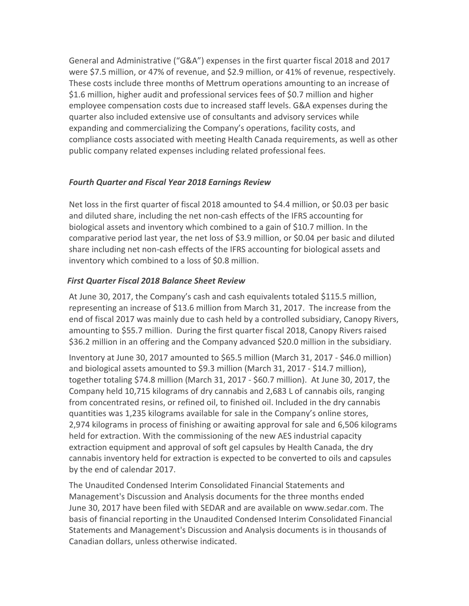General and Administrative ("G&A") expenses in the first quarter fiscal 2018 and 2017 were \$7.5 million, or 47% of revenue, and \$2.9 million, or 41% of revenue, respectively. These costs include three months of Mettrum operations amounting to an increase of \$1.6 million, higher audit and professional services fees of \$0.7 million and higher employee compensation costs due to increased staff levels. G&A expenses during the quarter also included extensive use of consultants and advisory services while expanding and commercializing the Company's operations, facility costs, and compliance costs associated with meeting Health Canada requirements, as well as other public company related expenses including related professional fees.

# *Fourth Quarter and Fiscal Year 2018 Earnings Review*

Net loss in the first quarter of fiscal 2018 amounted to \$4.4 million, or \$0.03 per basic and diluted share, including the net non-cash effects of the IFRS accounting for biological assets and inventory which combined to a gain of \$10.7 million. In the comparative period last year, the net loss of \$3.9 million, or \$0.04 per basic and diluted share including net non-cash effects of the IFRS accounting for biological assets and inventory which combined to a loss of \$0.8 million.

# *First Quarter Fiscal 2018 Balance Sheet Review*

At June 30, 2017, the Company's cash and cash equivalents totaled \$115.5 million, representing an increase of \$13.6 million from March 31, 2017. The increase from the end of fiscal 2017 was mainly due to cash held by a controlled subsidiary, Canopy Rivers, amounting to \$55.7 million. During the first quarter fiscal 2018, Canopy Rivers raised \$36.2 million in an offering and the Company advanced \$20.0 million in the subsidiary.

Inventory at June 30, 2017 amounted to \$65.5 million (March 31, 2017 - \$46.0 million) and biological assets amounted to \$9.3 million (March 31, 2017 - \$14.7 million), together totaling \$74.8 million (March 31, 2017 - \$60.7 million). At June 30, 2017, the Company held 10,715 kilograms of dry cannabis and 2,683 L of cannabis oils, ranging from concentrated resins, or refined oil, to finished oil. Included in the dry cannabis quantities was 1,235 kilograms available for sale in the Company's online stores, 2,974 kilograms in process of finishing or awaiting approval for sale and 6,506 kilograms held for extraction. With the commissioning of the new AES industrial capacity extraction equipment and approval of soft gel capsules by Health Canada, the dry cannabis inventory held for extraction is expected to be converted to oils and capsules by the end of calendar 2017.

The Unaudited Condensed Interim Consolidated Financial Statements and Management's Discussion and Analysis documents for the three months ended June 30, 2017 have been filed with SEDAR and are available on www.sedar.com. The basis of financial reporting in the Unaudited Condensed Interim Consolidated Financial Statements and Management's Discussion and Analysis documents is in thousands of Canadian dollars, unless otherwise indicated.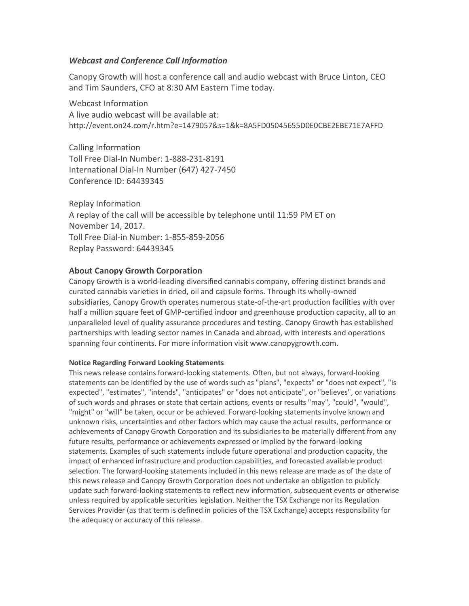#### *Webcast and Conference Call Information*

Canopy Growth will host a conference call and audio webcast with Bruce Linton, CEO and Tim Saunders, CFO at 8:30 AM Eastern Time today.

Webcast Information A live audio webcast will be available at: http://event.on24.com/r.htm?e=1479057&s=1&k=8A5FD05045655D0E0CBE2EBE71E7AFFD

Calling Information Toll Free Dial-In Number: 1-888-231-8191 International Dial-In Number (647) 427-7450 Conference ID: 64439345

Replay Information A replay of the call will be accessible by telephone until 11:59 PM ET on November 14, 2017. Toll Free Dial-in Number: 1-855-859-2056 Replay Password: 64439345

## **About Canopy Growth Corporation**

Canopy Growth is a world-leading diversified cannabis company, offering distinct brands and curated cannabis varieties in dried, oil and capsule forms. Through its wholly‑owned subsidiaries, Canopy Growth operates numerous state-of-the-art production facilities with over half a million square feet of GMP-certified indoor and greenhouse production capacity, all to an unparalleled level of quality assurance procedures and testing. Canopy Growth has established partnerships with leading sector names in Canada and abroad, with interests and operations spanning four continents. For more information visit www.canopygrowth.com.

#### **Notice Regarding Forward Looking Statements**

This news release contains forward-looking statements. Often, but not always, forward-looking statements can be identified by the use of words such as "plans", "expects" or "does not expect", "is expected", "estimates", "intends", "anticipates" or "does not anticipate", or "believes", or variations of such words and phrases or state that certain actions, events or results "may", "could", "would", "might" or "will" be taken, occur or be achieved. Forward-looking statements involve known and unknown risks, uncertainties and other factors which may cause the actual results, performance or achievements of Canopy Growth Corporation and its subsidiaries to be materially different from any future results, performance or achievements expressed or implied by the forward-looking statements. Examples of such statements include future operational and production capacity, the impact of enhanced infrastructure and production capabilities, and forecasted available product selection. The forward-looking statements included in this news release are made as of the date of this news release and Canopy Growth Corporation does not undertake an obligation to publicly update such forward-looking statements to reflect new information, subsequent events or otherwise unless required by applicable securities legislation. Neither the TSX Exchange nor its Regulation Services Provider (as that term is defined in policies of the TSX Exchange) accepts responsibility for the adequacy or accuracy of this release.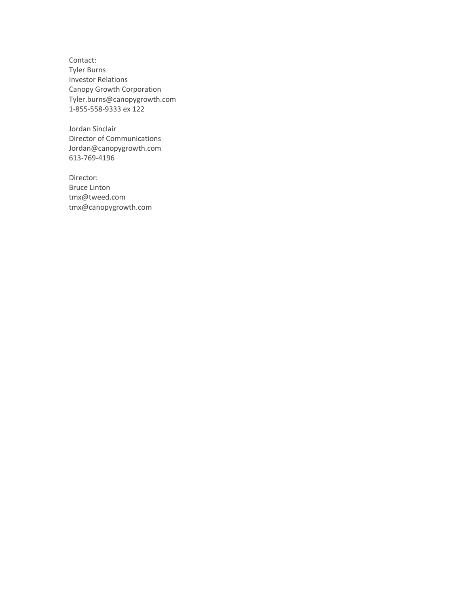Contact: Tyler Burns Investor Relations Canopy Growth Corporation [Tyler.burns@canopygrowth.com](mailto:Tyler.burns@canopygrowth.com) 1-855-558-9333 ex 122

Jordan Sinclair Director of Communications Jordan@canopygrowth.com 613-769-4196

Director: Bruce Linton [tmx@tweed.com](mailto:tmx@tweed.com) [tmx@canopygrowth.com](mailto:tmx@canopygrowth.com)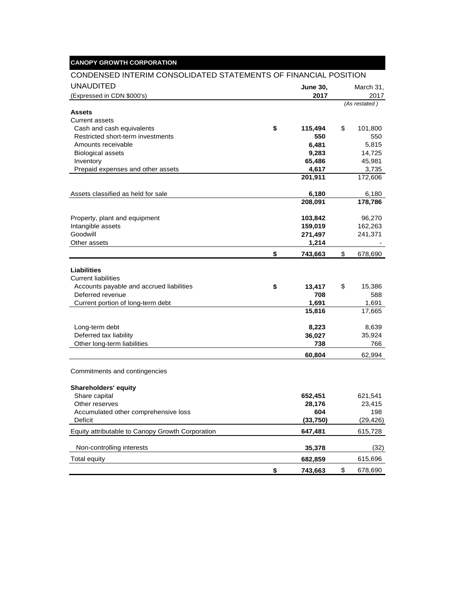# **CANOPY GROWTH CORPORATION**

#### CONDENSED INTERIM CONSOLIDATED STATEMENTS OF FINANCIAL POSITION

| <b>UNAUDITED</b>                                        |    | <b>June 30,</b> | March 31,     |
|---------------------------------------------------------|----|-----------------|---------------|
| (Expressed in CDN \$000's)                              |    | 2017            | 2017          |
|                                                         |    |                 | (As restated) |
| Assets                                                  |    |                 |               |
| <b>Current assets</b>                                   |    |                 |               |
| Cash and cash equivalents                               | \$ | 115,494         | \$<br>101,800 |
| Restricted short-term investments<br>Amounts receivable |    | 550             | 550<br>5,815  |
| <b>Biological assets</b>                                |    | 6,481<br>9,283  | 14,725        |
| Inventory                                               |    | 65,486          | 45,981        |
| Prepaid expenses and other assets                       |    | 4,617           | 3,735         |
|                                                         |    | 201,911         | 172,606       |
| Assets classified as held for sale                      |    | 6,180           | 6,180         |
|                                                         |    | 208,091         | 178,786       |
|                                                         |    |                 |               |
| Property, plant and equipment                           |    | 103,842         | 96,270        |
| Intangible assets                                       |    | 159,019         | 162,263       |
| Goodwill                                                |    | 271,497         | 241,371       |
| Other assets                                            |    | 1,214           |               |
|                                                         | \$ | 743,663         | \$<br>678,690 |
| <b>Liabilities</b>                                      |    |                 |               |
| <b>Current liabilities</b>                              |    |                 |               |
| Accounts payable and accrued liabilities                | \$ | 13,417          | \$<br>15,386  |
| Deferred revenue                                        |    | 708             | 588           |
| Current portion of long-term debt                       |    | 1,691           | 1,691         |
|                                                         |    | 15,816          | 17,665        |
| Long-term debt                                          |    | 8,223           | 8,639         |
| Deferred tax liability                                  |    | 36,027          | 35,924        |
| Other long-term liabilities                             |    | 738             | 766           |
|                                                         |    | 60,804          | 62,994        |
| Commitments and contingencies                           |    |                 |               |
|                                                         |    |                 |               |
| <b>Shareholders' equity</b>                             |    |                 |               |
| Share capital                                           |    | 652,451         | 621,541       |
| Other reserves                                          |    | 28,176          | 23,415        |
| Accumulated other comprehensive loss                    |    | 604             | 198           |
| Deficit                                                 |    | (33,750)        | (29, 426)     |
| Equity attributable to Canopy Growth Corporation        |    | 647,481         | 615,728       |
| Non-controlling interests                               |    | 35,378          | (32)          |
| <b>Total equity</b>                                     |    | 682,859         | 615,696       |
|                                                         | \$ | 743,663         | \$<br>678,690 |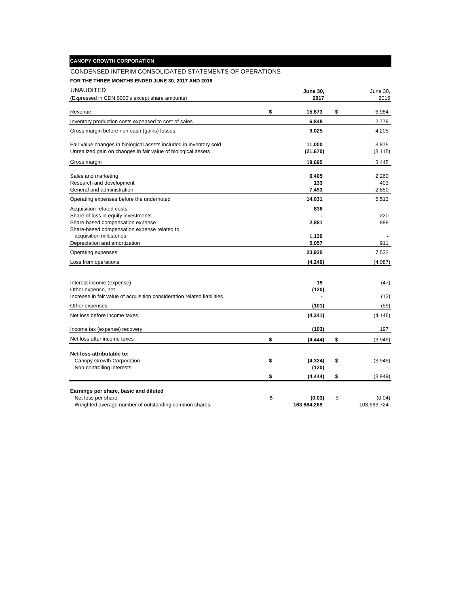| <b>CANOPY GROWTH CORPORATION</b> |  |
|----------------------------------|--|
|                                  |  |
|                                  |  |

## CONDENSED INTERIM CONSOLIDATED STATEMENTS OF OPERATIONS

**FOR THE THREE MONTHS ENDED JUNE 30, 2017 AND 2016**

| <b>UNAUDITED</b>                                                        | June 30.       | June 30,      |
|-------------------------------------------------------------------------|----------------|---------------|
| (Expressed in CDN \$000's except share amounts)                         | 2017           | 2016          |
| Revenue                                                                 | \$<br>15,873   | \$<br>6,984   |
| Inventory production costs expensed to cost of sales                    | 6,848          | 2,779         |
| Gross margin before non-cash (gains) losses                             | 9,025          | 4,205         |
| Fair value changes in biological assets included in inventory sold      | 11,000         | 3,875         |
| Unrealized gain on changes in fair value of biological assets           | (21, 670)      | (3, 115)      |
| Gross margin                                                            | 19,695         | 3,445         |
| Sales and marketing                                                     | 6,405          | 2,260         |
| Research and development                                                | 133            | 403           |
| General and administration                                              | 7,493          | 2,850         |
| Operating expenses before the undernoted                                | 14,031         | 5,513         |
| Acquisition-related costs                                               | 836            |               |
| Share of loss in equity investments                                     |                | 220           |
| Share-based compensation expense                                        | 2,881          | 888           |
| Share-based compensation expense related to                             |                |               |
| acquisition milestones                                                  | 1,130          |               |
| Depreciation and amortization                                           | 5,057          | 911           |
| Operating expenses                                                      | 23,935         | 7,532         |
| Loss from operations                                                    | (4, 240)       | (4,087)       |
|                                                                         |                |               |
| Interest income (expense)                                               | 19             | (47)          |
| Other expense, net                                                      | (120)          |               |
| Increase in fair value of acquisition consideration related liabilities |                | (12)          |
| Other expenses                                                          | (101)          | (59)          |
| Net loss before income taxes                                            | (4, 341)       | (4, 146)      |
| Income tax (expense) recovery                                           | (103)          | 197           |
| Net loss after income taxes                                             | \$<br>(4, 444) | \$<br>(3,949) |
| Net loss attributable to:                                               |                |               |
| Canopy Growth Corporation                                               | \$<br>(4, 324) | \$<br>(3,949) |
| Non-controlling interests                                               | (120)          |               |
|                                                                         | \$<br>(4, 444) | \$<br>(3,949) |
|                                                                         |                |               |
| Earnings per share, basic and diluted<br>Net loss per share:            | \$<br>(0.03)   | \$<br>(0.04)  |
| Weighted average number of outstanding common shares:                   | 163,884,269    | 103,663,724   |